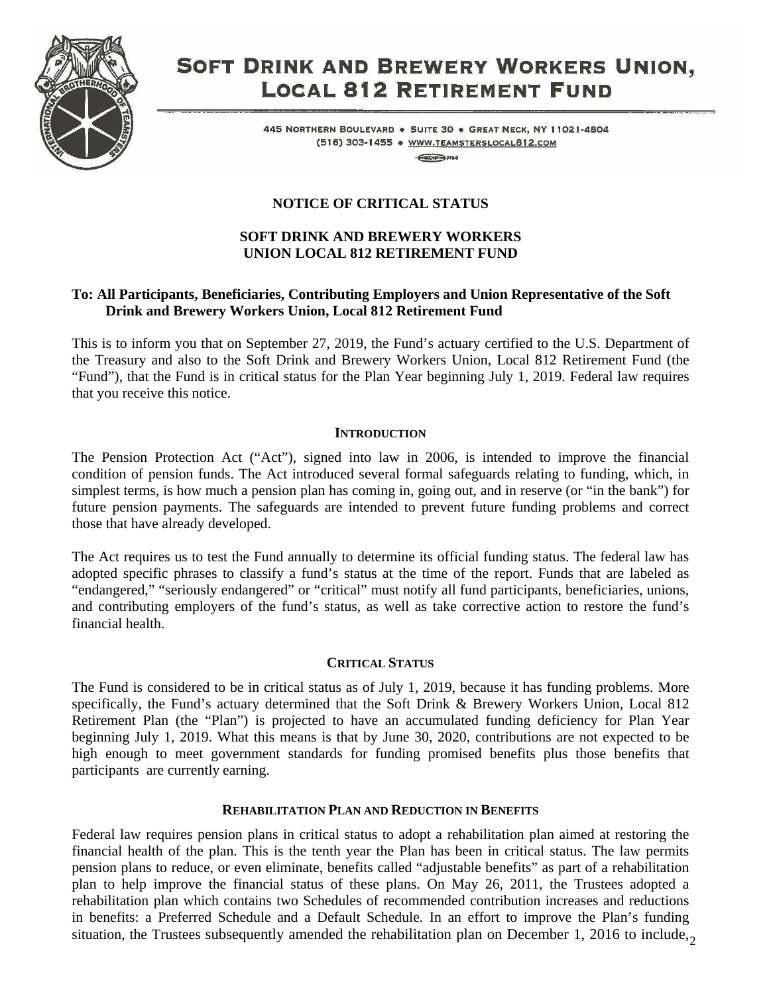

# SOFT DRINK AND BREWERY WORKERS UNION, **LOCAL 812 RETIREMENT FUND**

445 NORTHERN BOULEVARD . SUITE 30 . GREAT NECK, NY 11021-4804 (516) 303-1455 . WWW.TEAMSTERSLOCAL812.COM

 $-60000$   $3780$ 

# **NOTICE OF CRITICAL STATUS**

## **SOFT DRINK AND BREWERY WORKERS UNION LOCAL 812 RETIREMENT FUND**

## **To: All Participants, Beneficiaries, Contributing Employers and Union Representative of the Soft Drink and Brewery Workers Union, Local 812 Retirement Fund**

This is to inform you that on September 27, 2019, the Fund's actuary certified to the U.S. Department of the Treasury and also to the Soft Drink and Brewery Workers Union, Local 812 Retirement Fund (the "Fund"), that the Fund is in critical status for the Plan Year beginning July 1, 2019. Federal law requires that you receive this notice.

## **INTRODUCTION**

The Pension Protection Act ("Act"), signed into law in 2006, is intended to improve the financial condition of pension funds. The Act introduced several formal safeguards relating to funding, which, in simplest terms, is how much a pension plan has coming in, going out, and in reserve (or "in the bank") for future pension payments. The safeguards are intended to prevent future funding problems and correct those that have already developed.

The Act requires us to test the Fund annually to determine its official funding status. The federal law has adopted specific phrases to classify a fund's status at the time of the report. Funds that are labeled as "endangered," "seriously endangered" or "critical" must notify all fund participants, beneficiaries, unions, and contributing employers of the fund's status, as well as take corrective action to restore the fund's financial health.

#### **CRITICAL STATUS**

The Fund is considered to be in critical status as of July 1, 2019, because it has funding problems. More specifically, the Fund's actuary determined that the Soft Drink & Brewery Workers Union, Local 812 Retirement Plan (the "Plan") is projected to have an accumulated funding deficiency for Plan Year beginning July 1, 2019. What this means is that by June 30, 2020, contributions are not expected to be high enough to meet government standards for funding promised benefits plus those benefits that participants are currently earning.

#### **REHABILITATION PLAN AND REDUCTION IN BENEFITS**

situation, the Trustees subsequently amended the rehabilitation plan on December 1, 2016 to include, Federal law requires pension plans in critical status to adopt a rehabilitation plan aimed at restoring the financial health of the plan. This is the tenth year the Plan has been in critical status. The law permits pension plans to reduce, or even eliminate, benefits called "adjustable benefits" as part of a rehabilitation plan to help improve the financial status of these plans. On May 26, 2011, the Trustees adopted a rehabilitation plan which contains two Schedules of recommended contribution increases and reductions in benefits: a Preferred Schedule and a Default Schedule. In an effort to improve the Plan's funding